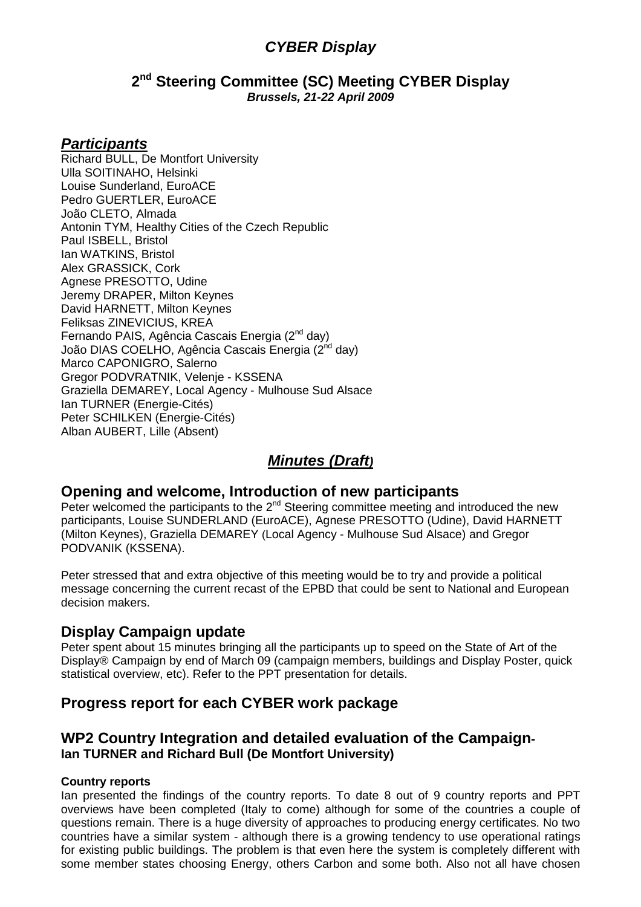# **CYBER Display**

### **2 nd Steering Committee (SC) Meeting CYBER Display Brussels, 21-22 April 2009**

## **Participants**

Richard BULL, De Montfort University Ulla SOITINAHO, Helsinki Louise Sunderland, EuroACE Pedro GUERTLER, EuroACE João CLETO, Almada Antonin TYM, Healthy Cities of the Czech Republic Paul ISBELL, Bristol Ian WATKINS, Bristol Alex GRASSICK, Cork Agnese PRESOTTO, Udine Jeremy DRAPER, Milton Keynes David HARNETT, Milton Keynes Feliksas ZINEVICIUS, KREA Fernando PAIS, Agência Cascais Energia (2<sup>nd</sup> day) João DIAS COELHO, Agência Cascais Energia (2<sup>nd</sup> day) Marco CAPONIGRO, Salerno Gregor PODVRATNIK, Velenje - KSSENA Graziella DEMAREY, Local Agency - Mulhouse Sud Alsace Ian TURNER (Energie-Cités) Peter SCHILKEN (Energie-Cités) Alban AUBERT, Lille (Absent)

# **Minutes (Draft)**

# **Opening and welcome, Introduction of new participants**

Peter welcomed the participants to the 2<sup>nd</sup> Steering committee meeting and introduced the new participants, Louise SUNDERLAND (EuroACE), Agnese PRESOTTO (Udine), David HARNETT (Milton Keynes), Graziella DEMAREY (Local Agency - Mulhouse Sud Alsace) and Gregor PODVANIK (KSSENA).

Peter stressed that and extra objective of this meeting would be to try and provide a political message concerning the current recast of the EPBD that could be sent to National and European decision makers.

# **Display Campaign update**

Peter spent about 15 minutes bringing all the participants up to speed on the State of Art of the Display® Campaign by end of March 09 (campaign members, buildings and Display Poster, quick statistical overview, etc). Refer to the PPT presentation for details.

# **Progress report for each CYBER work package**

## **WP2 Country Integration and detailed evaluation of the Campaign-Ian TURNER and Richard Bull (De Montfort University)**

### **Country reports**

Ian presented the findings of the country reports. To date 8 out of 9 country reports and PPT overviews have been completed (Italy to come) although for some of the countries a couple of questions remain. There is a huge diversity of approaches to producing energy certificates. No two countries have a similar system - although there is a growing tendency to use operational ratings for existing public buildings. The problem is that even here the system is completely different with some member states choosing Energy, others Carbon and some both. Also not all have chosen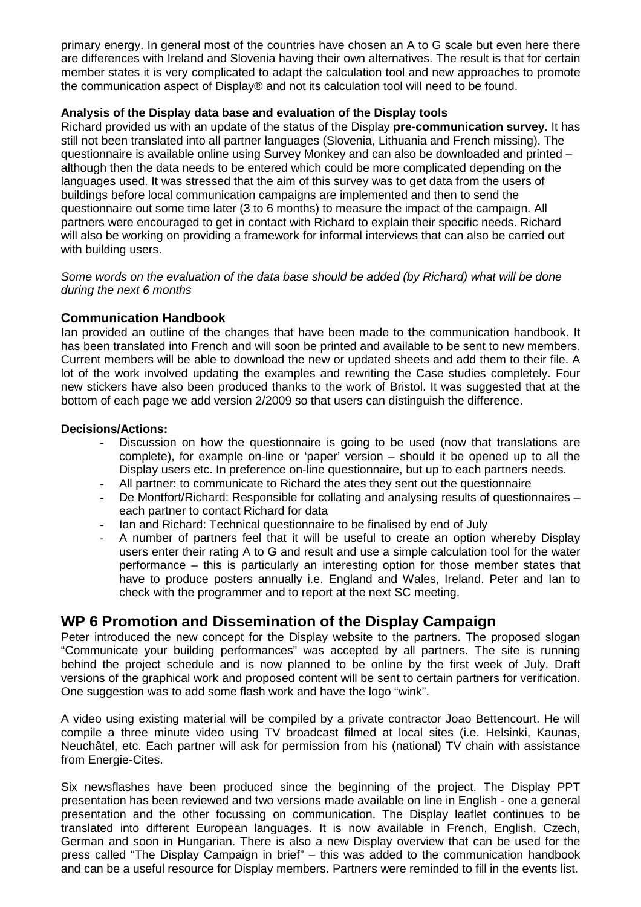primary energy. In general most of the countries have chosen an A to G scale but even here there are differences with Ireland and Slovenia having their own alternatives. The result is that for certain member states it is very complicated to adapt the calculation tool and new approaches to promote the communication aspect of Display® and not its calculation tool will need to be found.

#### **Analysis of the Display data base and evaluation of the Display tools**

Richard provided us with an update of the status of the Display **pre-communication survey**. It has still not been translated into all partner languages (Slovenia, Lithuania and French missing). The questionnaire is available online using Survey Monkey and can also be downloaded and printed – although then the data needs to be entered which could be more complicated depending on the languages used. It was stressed that the aim of this survey was to get data from the users of buildings before local communication campaigns are implemented and then to send the questionnaire out some time later (3 to 6 months) to measure the impact of the campaign. All partners were encouraged to get in contact with Richard to explain their specific needs. Richard will also be working on providing a framework for informal interviews that can also be carried out with building users.

Some words on the evaluation of the data base should be added (by Richard) what will be done during the next 6 months

#### **Communication Handbook**

Ian provided an outline of the changes that have been made to **t**he communication handbook. It has been translated into French and will soon be printed and available to be sent to new members. Current members will be able to download the new or updated sheets and add them to their file. A lot of the work involved updating the examples and rewriting the Case studies completely. Four new stickers have also been produced thanks to the work of Bristol. It was suggested that at the bottom of each page we add version 2/2009 so that users can distinguish the difference.

#### **Decisions/Actions:**

- Discussion on how the questionnaire is going to be used (now that translations are complete), for example on-line or 'paper' version – should it be opened up to all the Display users etc. In preference on-line questionnaire, but up to each partners needs.
- All partner: to communicate to Richard the ates they sent out the questionnaire
- De Montfort/Richard: Responsible for collating and analysing results of questionnaires each partner to contact Richard for data
- Ian and Richard: Technical questionnaire to be finalised by end of July
- A number of partners feel that it will be useful to create an option whereby Display users enter their rating A to G and result and use a simple calculation tool for the water performance – this is particularly an interesting option for those member states that have to produce posters annually i.e. England and Wales, Ireland. Peter and Ian to check with the programmer and to report at the next SC meeting.

### **WP 6 Promotion and Dissemination of the Display Campaign**

Peter introduced the new concept for the Display website to the partners. The proposed slogan "Communicate your building performances" was accepted by all partners. The site is running behind the project schedule and is now planned to be online by the first week of July. Draft versions of the graphical work and proposed content will be sent to certain partners for verification. One suggestion was to add some flash work and have the logo "wink".

A video using existing material will be compiled by a private contractor Joao Bettencourt. He will compile a three minute video using TV broadcast filmed at local sites (i.e. Helsinki, Kaunas, Neuchâtel, etc. Each partner will ask for permission from his (national) TV chain with assistance from Energie-Cites.

Six newsflashes have been produced since the beginning of the project. The Display PPT presentation has been reviewed and two versions made available on line in English - one a general presentation and the other focussing on communication. The Display leaflet continues to be translated into different European languages. It is now available in French, English, Czech, German and soon in Hungarian. There is also a new Display overview that can be used for the press called "The Display Campaign in brief" – this was added to the communication handbook and can be a useful resource for Display members. Partners were reminded to fill in the events list.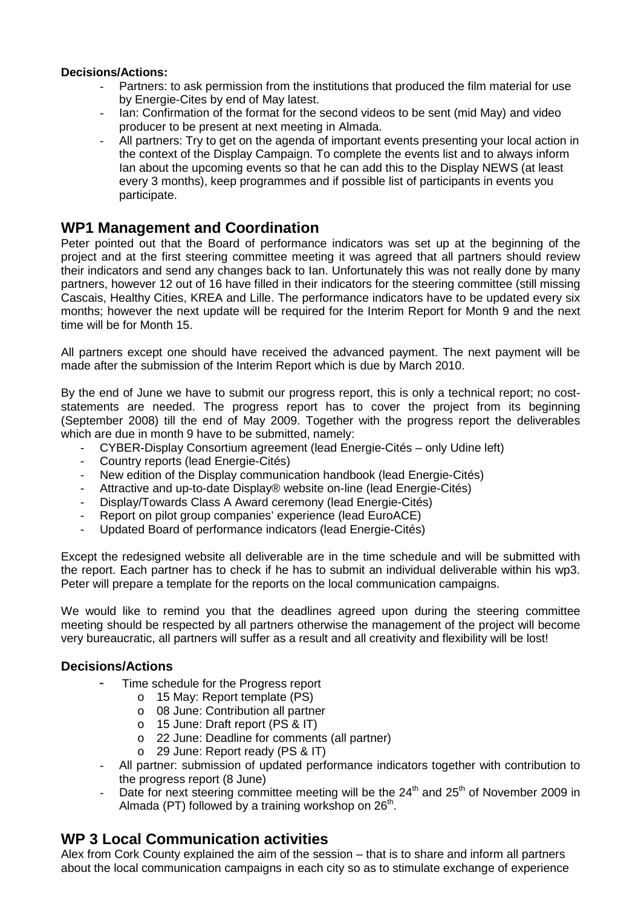#### **Decisions/Actions:**

- Partners: to ask permission from the institutions that produced the film material for use by Energie-Cites by end of May latest.
- Ian: Confirmation of the format for the second videos to be sent (mid May) and video producer to be present at next meeting in Almada.
- All partners: Try to get on the agenda of important events presenting your local action in the context of the Display Campaign. To complete the events list and to always inform Ian about the upcoming events so that he can add this to the Display NEWS (at least every 3 months), keep programmes and if possible list of participants in events you participate.

# **WP1 Management and Coordination**

Peter pointed out that the Board of performance indicators was set up at the beginning of the project and at the first steering committee meeting it was agreed that all partners should review their indicators and send any changes back to Ian. Unfortunately this was not really done by many partners, however 12 out of 16 have filled in their indicators for the steering committee (still missing Cascais, Healthy Cities, KREA and Lille. The performance indicators have to be updated every six months; however the next update will be required for the Interim Report for Month 9 and the next time will be for Month 15.

All partners except one should have received the advanced payment. The next payment will be made after the submission of the Interim Report which is due by March 2010.

By the end of June we have to submit our progress report, this is only a technical report; no coststatements are needed. The progress report has to cover the project from its beginning (September 2008) till the end of May 2009. Together with the progress report the deliverables which are due in month 9 have to be submitted, namely:

- CYBER-Display Consortium agreement (lead Energie-Cités only Udine left)
- Country reports (lead Energie-Cités)
- New edition of the Display communication handbook (lead Energie-Cités)
- Attractive and up-to-date Display® website on-line (lead Energie-Cités)
- Display/Towards Class A Award ceremony (lead Energie-Cités)
- Report on pilot group companies' experience (lead EuroACE)
- Updated Board of performance indicators (lead Energie-Cités)

Except the redesigned website all deliverable are in the time schedule and will be submitted with the report. Each partner has to check if he has to submit an individual deliverable within his wp3. Peter will prepare a template for the reports on the local communication campaigns.

We would like to remind you that the deadlines agreed upon during the steering committee meeting should be respected by all partners otherwise the management of the project will become very bureaucratic, all partners will suffer as a result and all creativity and flexibility will be lost!

### **Decisions/Actions**

- Time schedule for the Progress report
	- o 15 May: Report template (PS)
	- o 08 June: Contribution all partner
	- o 15 June: Draft report (PS & IT)
	- o 22 June: Deadline for comments (all partner)
	- o 29 June: Report ready (PS & IT)
- All partner: submission of updated performance indicators together with contribution to the progress report (8 June)
- Date for next steering committee meeting will be the  $24<sup>th</sup>$  and  $25<sup>th</sup>$  of November 2009 in Almada (PT) followed by a training workshop on  $26<sup>th</sup>$ .

# **WP 3 Local Communication activities**

Alex from Cork County explained the aim of the session – that is to share and inform all partners about the local communication campaigns in each city so as to stimulate exchange of experience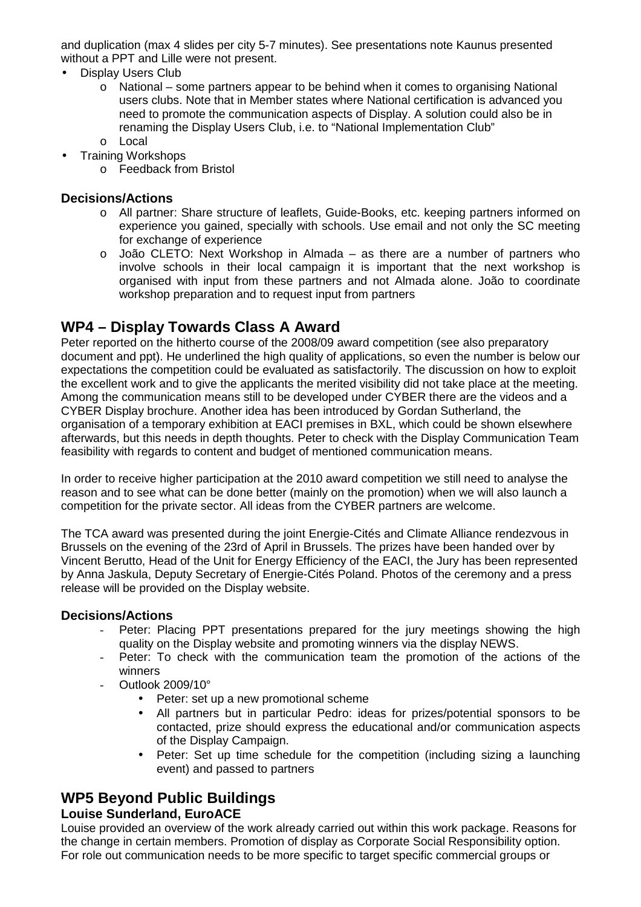and duplication (max 4 slides per city 5-7 minutes). See presentations note Kaunus presented without a PPT and Lille were not present.

- Display Users Club
	- $\circ$  National some partners appear to be behind when it comes to organising National users clubs. Note that in Member states where National certification is advanced you need to promote the communication aspects of Display. A solution could also be in renaming the Display Users Club, i.e. to "National Implementation Club" o Local
- Training Workshops
	- o Feedback from Bristol

### **Decisions/Actions**

- o All partner: Share structure of leaflets, Guide-Books, etc. keeping partners informed on experience you gained, specially with schools. Use email and not only the SC meeting for exchange of experience
- o João CLETO: Next Workshop in Almada as there are a number of partners who involve schools in their local campaign it is important that the next workshop is organised with input from these partners and not Almada alone. João to coordinate workshop preparation and to request input from partners

# **WP4 – Display Towards Class A Award**

Peter reported on the hitherto course of the 2008/09 award competition (see also preparatory document and ppt). He underlined the high quality of applications, so even the number is below our expectations the competition could be evaluated as satisfactorily. The discussion on how to exploit the excellent work and to give the applicants the merited visibility did not take place at the meeting. Among the communication means still to be developed under CYBER there are the videos and a CYBER Display brochure. Another idea has been introduced by Gordan Sutherland, the organisation of a temporary exhibition at EACI premises in BXL, which could be shown elsewhere afterwards, but this needs in depth thoughts. Peter to check with the Display Communication Team feasibility with regards to content and budget of mentioned communication means.

In order to receive higher participation at the 2010 award competition we still need to analyse the reason and to see what can be done better (mainly on the promotion) when we will also launch a competition for the private sector. All ideas from the CYBER partners are welcome.

The TCA award was presented during the joint Energie-Cités and Climate Alliance rendezvous in Brussels on the evening of the 23rd of April in Brussels. The prizes have been handed over by Vincent Berutto, Head of the Unit for Energy Efficiency of the EACI, the Jury has been represented by Anna Jaskula, Deputy Secretary of Energie-Cités Poland. Photos of the ceremony and a press release will be provided on the Display website.

### **Decisions/Actions**

- Peter: Placing PPT presentations prepared for the jury meetings showing the high quality on the Display website and promoting winners via the display NEWS.
- Peter: To check with the communication team the promotion of the actions of the winners
- Outlook 2009/10°
	- Peter: set up a new promotional scheme
	- All partners but in particular Pedro: ideas for prizes/potential sponsors to be contacted, prize should express the educational and/or communication aspects of the Display Campaign.
	- Peter: Set up time schedule for the competition (including sizing a launching event) and passed to partners

# **WP5 Beyond Public Buildings**

### **Louise Sunderland, EuroACE**

Louise provided an overview of the work already carried out within this work package. Reasons for the change in certain members. Promotion of display as Corporate Social Responsibility option. For role out communication needs to be more specific to target specific commercial groups or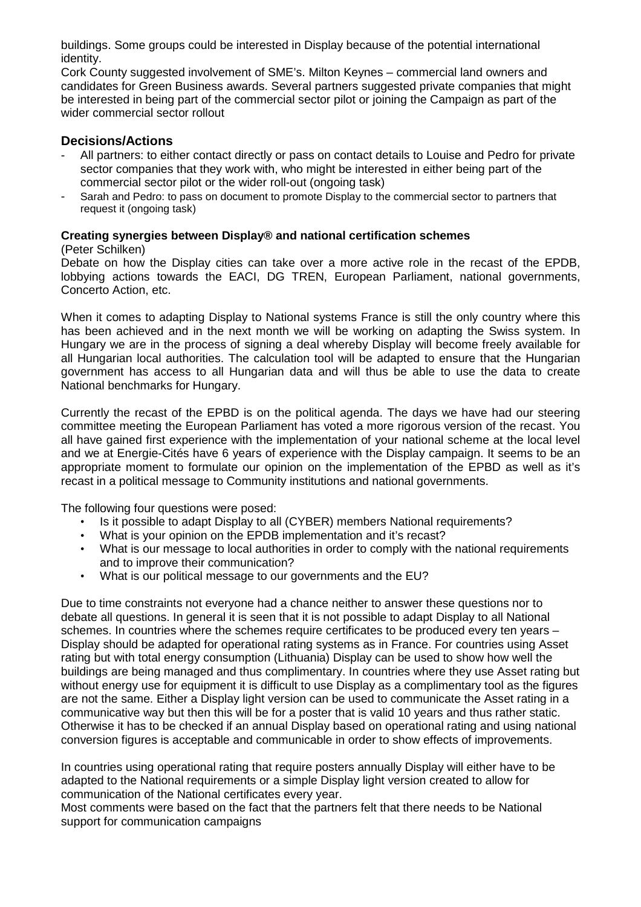buildings. Some groups could be interested in Display because of the potential international identity.

Cork County suggested involvement of SME's. Milton Keynes – commercial land owners and candidates for Green Business awards. Several partners suggested private companies that might be interested in being part of the commercial sector pilot or joining the Campaign as part of the wider commercial sector rollout

#### **Decisions/Actions**

- All partners: to either contact directly or pass on contact details to Louise and Pedro for private sector companies that they work with, who might be interested in either being part of the commercial sector pilot or the wider roll-out (ongoing task)
- Sarah and Pedro: to pass on document to promote Display to the commercial sector to partners that request it (ongoing task)

#### **Creating synergies between Display® and national certification schemes**

(Peter Schilken)

Debate on how the Display cities can take over a more active role in the recast of the EPDB, lobbying actions towards the EACI, DG TREN, European Parliament, national governments, Concerto Action, etc.

When it comes to adapting Display to National systems France is still the only country where this has been achieved and in the next month we will be working on adapting the Swiss system. In Hungary we are in the process of signing a deal whereby Display will become freely available for all Hungarian local authorities. The calculation tool will be adapted to ensure that the Hungarian government has access to all Hungarian data and will thus be able to use the data to create National benchmarks for Hungary.

Currently the recast of the EPBD is on the political agenda. The days we have had our steering committee meeting the European Parliament has voted a more rigorous version of the recast. You all have gained first experience with the implementation of your national scheme at the local level and we at Energie-Cités have 6 years of experience with the Display campaign. It seems to be an appropriate moment to formulate our opinion on the implementation of the EPBD as well as it's recast in a political message to Community institutions and national governments.

The following four questions were posed:

- Is it possible to adapt Display to all (CYBER) members National requirements?
- What is your opinion on the EPDB implementation and it's recast?
- What is our message to local authorities in order to comply with the national requirements and to improve their communication?
- What is our political message to our governments and the EU?

Due to time constraints not everyone had a chance neither to answer these questions nor to debate all questions. In general it is seen that it is not possible to adapt Display to all National schemes. In countries where the schemes require certificates to be produced every ten years – Display should be adapted for operational rating systems as in France. For countries using Asset rating but with total energy consumption (Lithuania) Display can be used to show how well the buildings are being managed and thus complimentary. In countries where they use Asset rating but without energy use for equipment it is difficult to use Display as a complimentary tool as the figures are not the same. Either a Display light version can be used to communicate the Asset rating in a communicative way but then this will be for a poster that is valid 10 years and thus rather static. Otherwise it has to be checked if an annual Display based on operational rating and using national conversion figures is acceptable and communicable in order to show effects of improvements.

In countries using operational rating that require posters annually Display will either have to be adapted to the National requirements or a simple Display light version created to allow for communication of the National certificates every year.

Most comments were based on the fact that the partners felt that there needs to be National support for communication campaigns